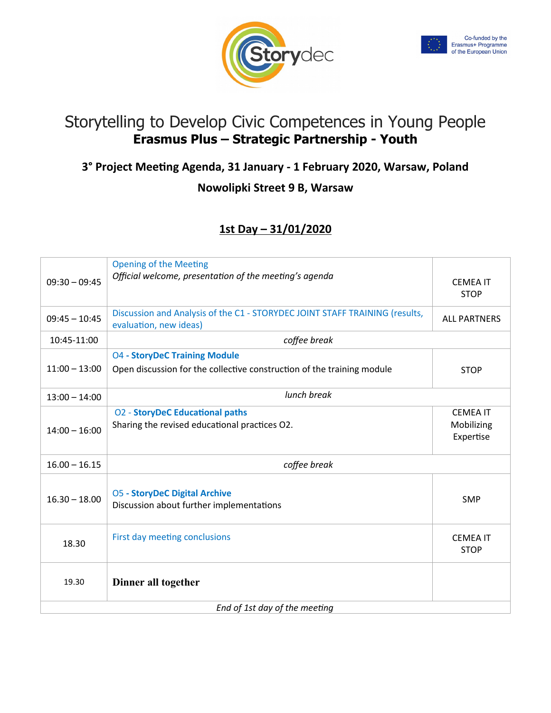



# Storytelling to Develop Civic Competences in Young People **Erasmus Plus – Strategic Partnership - Youth**

## **3° Project Meeting Agenda, 31 January - 1 February 2020, Warsaw, Poland**

#### **Nowolipki Street 9 B, Warsaw**

## **1st Day – 31/01/2020**

| $09:30 - 09:45$               | <b>Opening of the Meeting</b><br>Official welcome, presentation of the meeting's agenda                        | <b>CEMEA IT</b><br><b>STOP</b>             |  |
|-------------------------------|----------------------------------------------------------------------------------------------------------------|--------------------------------------------|--|
| $09:45 - 10:45$               | Discussion and Analysis of the C1 - STORYDEC JOINT STAFF TRAINING (results,<br>evaluation, new ideas)          | <b>ALL PARTNERS</b>                        |  |
| 10:45-11:00                   | coffee break                                                                                                   |                                            |  |
| $11:00 - 13:00$               | <b>04 - StoryDeC Training Module</b><br>Open discussion for the collective construction of the training module | <b>STOP</b>                                |  |
| $13:00 - 14:00$               | lunch break                                                                                                    |                                            |  |
| $14:00 - 16:00$               | <b>O2 - StoryDeC Educational paths</b><br>Sharing the revised educational practices O2.                        | <b>CEMEA IT</b><br>Mobilizing<br>Expertise |  |
| $16.00 - 16.15$               | coffee break                                                                                                   |                                            |  |
| $16.30 - 18.00$               | <b>05 - StoryDeC Digital Archive</b><br>Discussion about further implementations                               | <b>SMP</b>                                 |  |
| 18.30                         | First day meeting conclusions                                                                                  | <b>CEMEA IT</b><br><b>STOP</b>             |  |
| 19.30                         | Dinner all together                                                                                            |                                            |  |
| End of 1st day of the meeting |                                                                                                                |                                            |  |